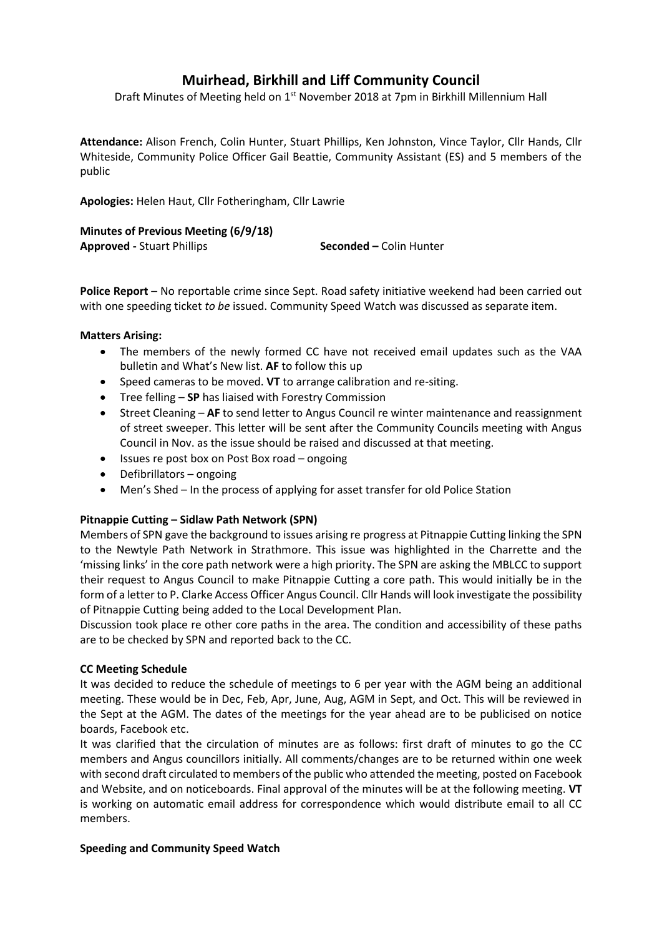# **Muirhead, Birkhill and Liff Community Council**

Draft Minutes of Meeting held on 1<sup>st</sup> November 2018 at 7pm in Birkhill Millennium Hall

**Attendance:** Alison French, Colin Hunter, Stuart Phillips, Ken Johnston, Vince Taylor, Cllr Hands, Cllr Whiteside, Community Police Officer Gail Beattie, Community Assistant (ES) and 5 members of the public

**Apologies:** Helen Haut, Cllr Fotheringham, Cllr Lawrie

| Minutes of Previous Meeting (6/9/18) |                                |
|--------------------------------------|--------------------------------|
| <b>Approved - Stuart Phillips</b>    | <b>Seconded – Colin Hunter</b> |

**Police Report** – No reportable crime since Sept. Road safety initiative weekend had been carried out with one speeding ticket *to be* issued. Community Speed Watch was discussed as separate item.

## **Matters Arising:**

- The members of the newly formed CC have not received email updates such as the VAA bulletin and What's New list. **AF** to follow this up
- Speed cameras to be moved. **VT** to arrange calibration and re-siting.
- Tree felling **SP** has liaised with Forestry Commission
- Street Cleaning **AF** to send letter to Angus Council re winter maintenance and reassignment of street sweeper. This letter will be sent after the Community Councils meeting with Angus Council in Nov. as the issue should be raised and discussed at that meeting.
- Issues re post box on Post Box road ongoing
- Defibrillators ongoing
- Men's Shed In the process of applying for asset transfer for old Police Station

## **Pitnappie Cutting – Sidlaw Path Network (SPN)**

Members of SPN gave the background to issues arising re progress at Pitnappie Cutting linking the SPN to the Newtyle Path Network in Strathmore. This issue was highlighted in the Charrette and the 'missing links' in the core path network were a high priority. The SPN are asking the MBLCC to support their request to Angus Council to make Pitnappie Cutting a core path. This would initially be in the form of a letter to P. Clarke Access Officer Angus Council. Cllr Hands will look investigate the possibility of Pitnappie Cutting being added to the Local Development Plan.

Discussion took place re other core paths in the area. The condition and accessibility of these paths are to be checked by SPN and reported back to the CC.

## **CC Meeting Schedule**

It was decided to reduce the schedule of meetings to 6 per year with the AGM being an additional meeting. These would be in Dec, Feb, Apr, June, Aug, AGM in Sept, and Oct. This will be reviewed in the Sept at the AGM. The dates of the meetings for the year ahead are to be publicised on notice boards, Facebook etc.

It was clarified that the circulation of minutes are as follows: first draft of minutes to go the CC members and Angus councillors initially. All comments/changes are to be returned within one week with second draft circulated to members of the public who attended the meeting, posted on Facebook and Website, and on noticeboards. Final approval of the minutes will be at the following meeting. **VT** is working on automatic email address for correspondence which would distribute email to all CC members.

## **Speeding and Community Speed Watch**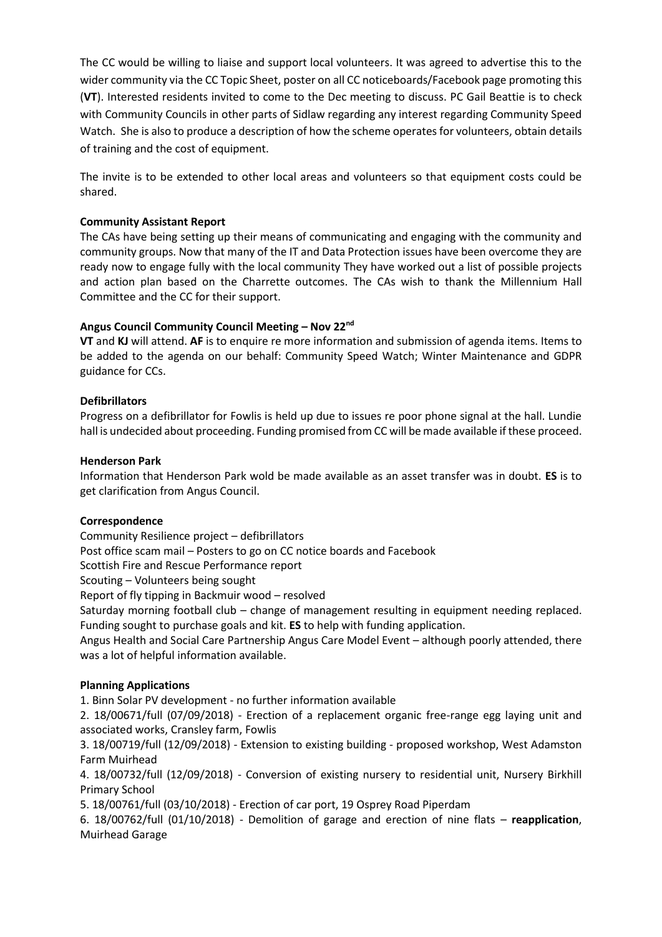The CC would be willing to liaise and support local volunteers. It was agreed to advertise this to the wider community via the CC Topic Sheet, poster on all CC noticeboards/Facebook page promoting this (**VT**). Interested residents invited to come to the Dec meeting to discuss. PC Gail Beattie is to check with Community Councils in other parts of Sidlaw regarding any interest regarding Community Speed Watch. She is also to produce a description of how the scheme operates for volunteers, obtain details of training and the cost of equipment.

The invite is to be extended to other local areas and volunteers so that equipment costs could be shared.

## **Community Assistant Report**

The CAs have being setting up their means of communicating and engaging with the community and community groups. Now that many of the IT and Data Protection issues have been overcome they are ready now to engage fully with the local community They have worked out a list of possible projects and action plan based on the Charrette outcomes. The CAs wish to thank the Millennium Hall Committee and the CC for their support.

## **Angus Council Community Council Meeting – Nov 22nd**

**VT** and **KJ** will attend. **AF** is to enquire re more information and submission of agenda items. Items to be added to the agenda on our behalf: Community Speed Watch; Winter Maintenance and GDPR guidance for CCs.

## **Defibrillators**

Progress on a defibrillator for Fowlis is held up due to issues re poor phone signal at the hall. Lundie hall is undecided about proceeding. Funding promised from CC will be made available if these proceed.

## **Henderson Park**

Information that Henderson Park wold be made available as an asset transfer was in doubt. **ES** is to get clarification from Angus Council.

## **Correspondence**

Community Resilience project – defibrillators

Post office scam mail – Posters to go on CC notice boards and Facebook

Scottish Fire and Rescue Performance report

Scouting – Volunteers being sought

Report of fly tipping in Backmuir wood – resolved

Saturday morning football club – change of management resulting in equipment needing replaced. Funding sought to purchase goals and kit. **ES** to help with funding application.

Angus Health and Social Care Partnership Angus Care Model Event – although poorly attended, there was a lot of helpful information available.

## **Planning Applications**

1. Binn Solar PV development - no further information available

2. 18/00671/full (07/09/2018) - Erection of a replacement organic free-range egg laying unit and associated works, Cransley farm, Fowlis

3. 18/00719/full (12/09/2018) - Extension to existing building - proposed workshop, West Adamston Farm Muirhead

4. 18/00732/full (12/09/2018) - Conversion of existing nursery to residential unit, Nursery Birkhill Primary School

5. 18/00761/full (03/10/2018) - Erection of car port, 19 Osprey Road Piperdam

6. 18/00762/full (01/10/2018) - Demolition of garage and erection of nine flats – **reapplication**, Muirhead Garage